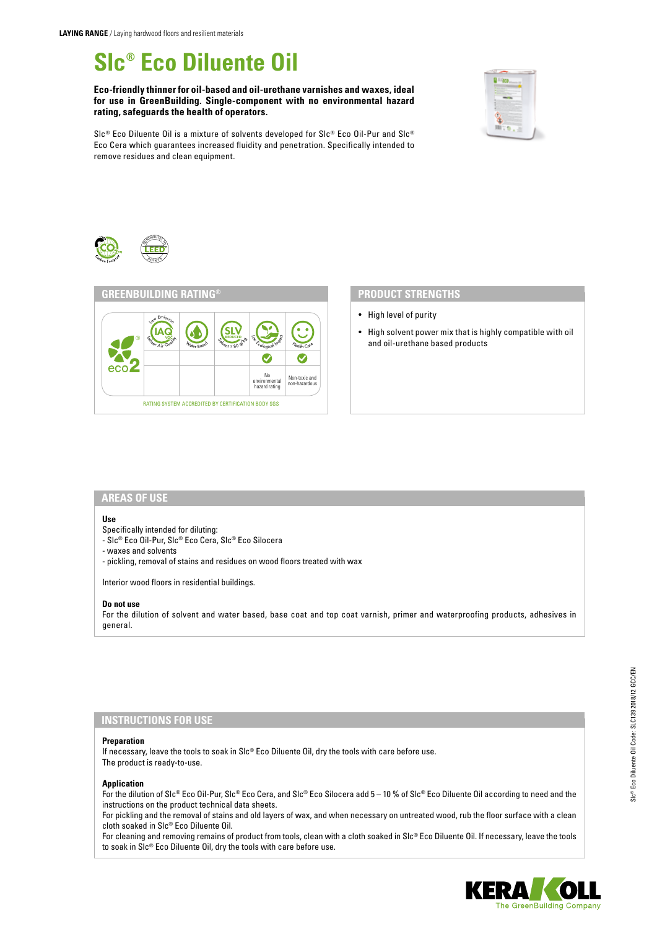# **Slc® Eco Diluente Oil**

**Eco-friendly thinner for oil-based and oil-urethane varnishes and waxes, ideal for use in GreenBuilding. Single-component with no environmental hazard rating, safeguards the health of operators.**



Slc® Eco Diluente Oil is a mixture of solvents developed for Slc® Eco Oil-Pur and Slc® Eco Cera which guarantees increased fluidity and penetration. Specifically intended to remove residues and clean equipment.





- High level of purity
- High solvent power mix that is highly compatible with oil and oil-urethane based products

#### **AREAS OF USE**

#### **Use**

- Specifically intended for diluting:
- Slc® Eco Oil-Pur, Slc® Eco Cera, Slc® Eco Silocera
- waxes and solvents
- pickling, removal of stains and residues on wood floors treated with wax

Interior wood floors in residential buildings.

#### **Do not use**

For the dilution of solvent and water based, base coat and top coat varnish, primer and waterproofing products, adhesives in general.

### **INSTRUCTIONS FOR USE**

#### **Preparation**

If necessary, leave the tools to soak in SIc® Eco Diluente Oil, dry the tools with care before use. The product is ready-to-use.

#### **Application**

For the dilution of Slc® Eco Oil-Pur, Slc® Eco Cera, and Slc® Eco Silocera add 5 – 10 % of Slc® Eco Diluente Oil according to need and the instructions on the product technical data sheets.

For pickling and the removal of stains and old layers of wax, and when necessary on untreated wood, rub the floor surface with a clean cloth soaked in Slc® Eco Diluente Oil.

For cleaning and removing remains of product from tools, clean with a cloth soaked in Slc® Eco Diluente Oil. If necessary, leave the tools to soak in Slc® Eco Diluente Oil, dry the tools with care before use.